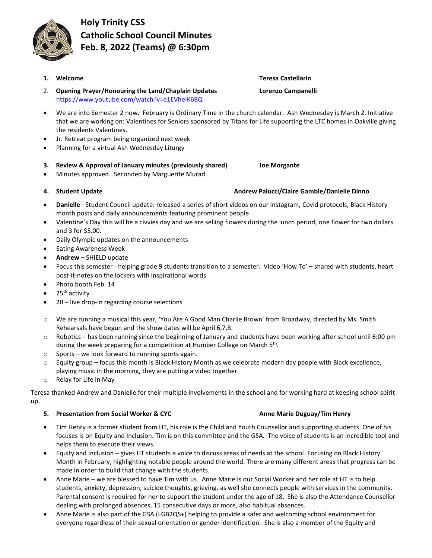**Holy Trinity CSS Catholic School Council Minutes Feb. 8, 2022 (Teams) @ 6:30pm**

- **1. Welcome Teresa Castellarin** 2. **Opening Prayer/Honouring the Land/Chaplain Updates Lorenzo Campanelli** <https://www.youtube.com/watch?v=e1EVheIK6BQ>
- We are into Semester 2 now. February is Ordinary Time in the church calendar. Ash Wednesday is March 2. Initiative that we are working on: Valentines for Seniors sponsored by Titans for Life supporting the LTC homes in Oakville giving the residents Valentines.
- Jr. Retreat program being organized next week
- Planning for a virtual Ash Wednesday Liturgy
- **3. Review & Approval of January minutes (previously shared) Joe Morgante**
- Minutes approved. Seconded by Marguerite Murad.
- 
- **Danielle** Student Council update: released a series of short videos on our Instagram, Covid protocols, Black History month posts and daily announcements featuring prominent people
- Valentine's Day this will be a civvies day and we are selling flowers during the lunch period, one flower for two dollars and 3 for \$5.00.
- Daily Olympic updates on the announcements
- Eating Awareness Week
- **Andrew** SHIELD update
- Focus this semester helping grade 9 students transition to a semester. Video 'How To' shared with students, heart post-it-notes on the lockers with inspirational words
- Photo booth Feb. 14
- 25<sup>th</sup> activity
- 28 live drop-in regarding course selections
- o We are running a musical this year, 'You Are A Good Man Charlie Brown' from Broadway, directed by Ms. Smith. Rehearsals have begun and the show dates will be April 6,7,8.
- o Robotics has been running since the beginning of January and students have been working after school until 6:00 pm during the week preparing for a competition at Humber College on March 5<sup>th</sup>.
- $\circ$  Sports we look forward to running sports again.
- $\circ$  Equity group focus this month is Black History Month as we celebrate modern day people with Black excellence, playing music in the morning, they are putting a video together.
- o Relay for Life in May

Teresa thanked Andrew and Danielle for their multiple involvements in the school and for working hard at keeping school spirit up.

## **5. Presentation from Social Worker & CYC Anne Marie Duguay/Tim Henry**

- Tim Henry is a former student from HT, his role is the Child and Youth Counsellor and supporting students. One of his focuses is on Equity and Inclusion. Tim is on this committee and the GSA. The voice of students is an incredible tool and helps them to execute their views.
- Equity and Inclusion gives HT students a voice to discuss areas of needs at the school. Focusing on Black History Month in February, highlighting notable people around the world. There are many different areas that progress can be made in order to build that change with the students.
- Anne Marie we are blessed to have Tim with us. Anne Marie is our Social Worker and her role at HT is to help students, anxiety, depression, suicide thoughts, grieving, as well she connects people with services in the community. Parental consent is required for her to support the student under the age of 18. She is also the Attendance Counsellor dealing with prolonged absences, 15 consecutive days or more, also habitual absences.
- Anne Marie is also part of the GSA (LGB2QS+) helping to provide a safer and welcoming school environment for everyone regardless of their sexual orientation or gender identification. She is also a member of the Equity and

# **4. Student Update Andrew Palucci/Claire Gamble/Danielle Dinno**

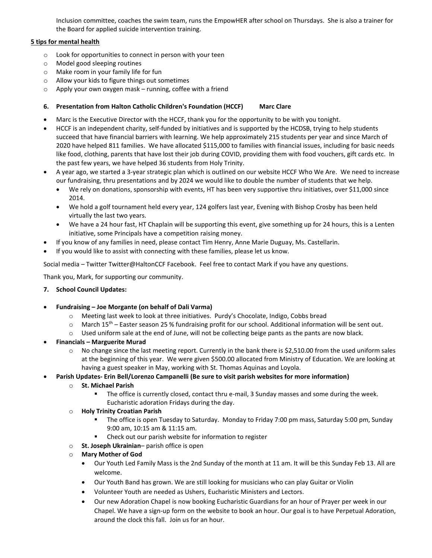Inclusion committee, coaches the swim team, runs the EmpowHER after school on Thursdays. She is also a trainer for the Board for applied suicide intervention training.

### **5 tips for mental health**

- o Look for opportunities to connect in person with your teen
- o Model good sleeping routines
- o Make room in your family life for fun
- o Allow your kids to figure things out sometimes
- o Apply your own oxygen mask running, coffee with a friend

### **6. Presentation from Halton Catholic Children's Foundation (HCCF) Marc Clare**

- Marc is the Executive Director with the HCCF, thank you for the opportunity to be with you tonight.
- HCCF is an independent charity, self-funded by initiatives and is supported by the HCDSB, trying to help students succeed that have financial barriers with learning. We help approximately 215 students per year and since March of 2020 have helped 811 families. We have allocated \$115,000 to families with financial issues, including for basic needs like food, clothing, parents that have lost their job during COVID, providing them with food vouchers, gift cards etc. In the past few years, we have helped 36 students from Holy Trinity.
- A year ago, we started a 3-year strategic plan which is outlined on our website HCCF Who We Are. We need to increase our fundraising, thru presentations and by 2024 we would like to double the number of students that we help.
	- We rely on donations, sponsorship with events, HT has been very supportive thru initiatives, over \$11,000 since 2014.
	- We hold a golf tournament held every year, 124 golfers last year, Evening with Bishop Crosby has been held virtually the last two years.
	- We have a 24 hour fast, HT Chaplain will be supporting this event, give something up for 24 hours, this is a Lenten initiative, some Principals have a competition raising money.
- If you know of any families in need, please contact Tim Henry, Anne Marie Duguay, Ms. Castellarin.
- If you would like to assist with connecting with these families, please let us know.

Social media – Twitter Twitter@HaltonCCF Facebook. Feel free to contact Mark if you have any questions.

Thank you, Mark, for supporting our community.

### **7. School Council Updates:**

- **Fundraising – Joe Morgante (on behalf of Dali Varma)**
	- o Meeting last week to look at three initiatives. Purdy's Chocolate, Indigo, Cobbs bread
	- $\circ$  March 15<sup>th</sup> Easter season 25 % fundraising profit for our school. Additional information will be sent out.
	- o Used uniform sale at the end of June, will not be collecting beige pants as the pants are now black.
- **Financials – Marguerite Murad**
	- $\circ$  No change since the last meeting report. Currently in the bank there is \$2,510.00 from the used uniform sales at the beginning of this year. We were given \$500.00 allocated from Ministry of Education. We are looking at having a guest speaker in May, working with St. Thomas Aquinas and Loyola.
- **Parish Updates- Erin Bell/Lorenzo Campanelli (Be sure to visit parish websites for more information)**
	- o **St. Michael Parish**
		- The office is currently closed, contact thru e-mail, 3 Sunday masses and some during the week. Eucharistic adoration Fridays during the day.
	- o **Holy Trinity Croatian Parish**
		- The office is open Tuesday to Saturday. Monday to Friday 7:00 pm mass, Saturday 5:00 pm, Sunday 9:00 am, 10:15 am & 11:15 am.
		- Check out our parish website for information to register
	- o **St. Joseph Ukrainian** parish office is open
	- o **Mary Mother of God**
		- Our Youth Led Family Mass is the 2nd Sunday of the month at 11 am. It will be this Sunday Feb 13. All are welcome.
		- Our Youth Band has grown. We are still looking for musicians who can play Guitar or Violin
		- Volunteer Youth are needed as Ushers, Eucharistic Ministers and Lectors.
		- Our new Adoration Chapel is now booking Eucharistic Guardians for an hour of Prayer per week in our Chapel. We have a sign-up form on the website to book an hour. Our goal is to have Perpetual Adoration, around the clock this fall. Join us for an hour.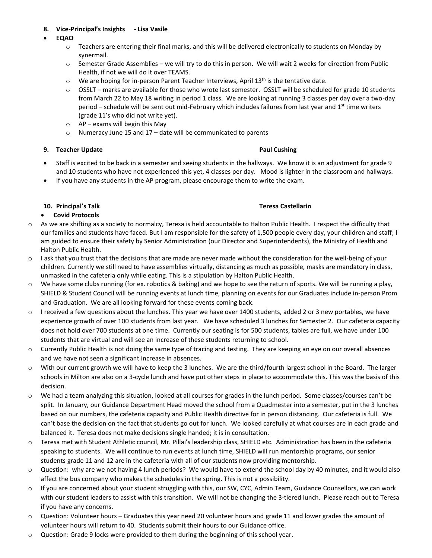### **8. Vice-Principal's Insights - Lisa Vasile**

- **EQAO**
	- o Teachers are entering their final marks, and this will be delivered electronically to students on Monday by synermail.
	- $\circ$  Semester Grade Assemblies we will try to do this in person. We will wait 2 weeks for direction from Public Health, if not we will do it over TEAMS.
	- o We are hoping for in-person Parent Teacher Interviews, April 13<sup>th</sup> is the tentative date.
	- o OSSLT marks are available for those who wrote last semester. OSSLT will be scheduled for grade 10 students from March 22 to May 18 writing in period 1 class. We are looking at running 3 classes per day over a two-day period – schedule will be sent out mid-February which includes failures from last year and  $1<sup>st</sup>$  time writers (grade 11's who did not write yet).
	- $\circ$  AP exams will begin this May
	- o Numeracy June 15 and 17 date will be communicated to parents

### **9. Teacher Update Paul Cushing**

- Staff is excited to be back in a semester and seeing students in the hallways. We know it is an adjustment for grade 9 and 10 students who have not experienced this yet, 4 classes per day. Mood is lighter in the classroom and hallways.
- If you have any students in the AP program, please encourage them to write the exam.

### **10. Principal's Talk Teresa Castellarin**

### • **Covid Protocols**

- o As we are shifting as a society to normalcy, Teresa is held accountable to Halton Public Health. I respect the difficulty that our families and students have faced. But I am responsible for the safety of 1,500 people every day, your children and staff; I am guided to ensure their safety by Senior Administration (our Director and Superintendents), the Ministry of Health and Halton Public Health.
- $\circ$  I ask that you trust that the decisions that are made are never made without the consideration for the well-being of your children. Currently we still need to have assemblies virtually, distancing as much as possible, masks are mandatory in class, unmasked in the cafeteria only while eating. This is a stipulation by Halton Public Health.
- $\circ$  We have some clubs running (for ex. robotics & baking) and we hope to see the return of sports. We will be running a play, SHIELD & Student Council will be running events at lunch time, planning on events for our Graduates include in-person Prom and Graduation. We are all looking forward for these events coming back.
- $\circ$  I received a few questions about the lunches. This year we have over 1400 students, added 2 or 3 new portables, we have experience growth of over 100 students from last year. We have scheduled 3 lunches for Semester 2. Our cafeteria capacity does not hold over 700 students at one time. Currently our seating is for 500 students, tables are full, we have under 100 students that are virtual and will see an increase of these students returning to school.
- o Currently Public Health is not doing the same type of tracing and testing. They are keeping an eye on our overall absences and we have not seen a significant increase in absences.
- o With our current growth we will have to keep the 3 lunches. We are the third/fourth largest school in the Board. The larger schools in Milton are also on a 3-cycle lunch and have put other steps in place to accommodate this. This was the basis of this decision.
- We had a team analyzing this situation, looked at all courses for grades in the lunch period. Some classes/courses can't be split. In January, our Guidance Department Head moved the school from a Quadmester into a semester, put in the 3 lunches based on our numbers, the cafeteria capacity and Public Health directive for in person distancing. Our cafeteria is full. We can't base the decision on the fact that students go out for lunch. We looked carefully at what courses are in each grade and balanced it. Teresa does not make decisions single handed; it is in consultation.
- o Teresa met with Student Athletic council, Mr. Pillai's leadership class, SHIELD etc. Administration has been in the cafeteria speaking to students. We will continue to run events at lunch time, SHIELD will run mentorship programs, our senior students grade 11 and 12 are in the cafeteria with all of our students now providing mentorship.
- $\circ$  Question: why are we not having 4 lunch periods? We would have to extend the school day by 40 minutes, and it would also affect the bus company who makes the schedules in the spring. This is not a possibility.
- o If you are concerned about your student struggling with this, our SW, CYC, Admin Team, Guidance Counsellors, we can work with our student leaders to assist with this transition. We will not be changing the 3-tiered lunch. Please reach out to Teresa if you have any concerns.
- o Question: Volunteer hours Graduates this year need 20 volunteer hours and grade 11 and lower grades the amount of volunteer hours will return to 40. Students submit their hours to our Guidance office.
- o Question: Grade 9 locks were provided to them during the beginning of this school year.